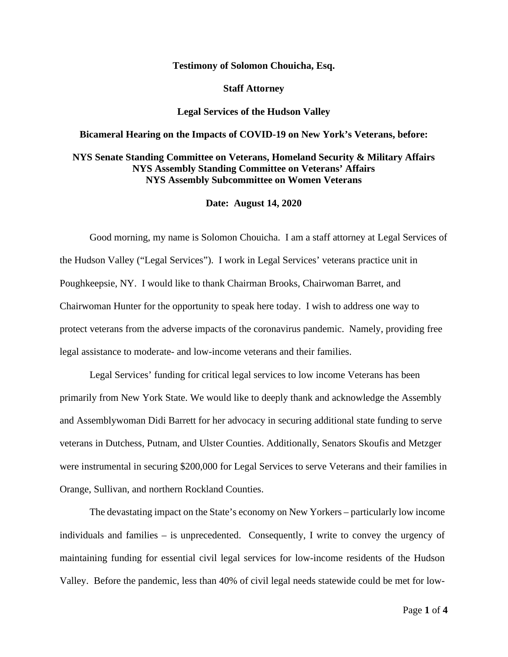## **Testimony of Solomon Chouicha, Esq.**

**Staff Attorney** 

### **Legal Services of the Hudson Valley**

## **Bicameral Hearing on the Impacts of COVID-19 on New York's Veterans, before:**

# **NYS Senate Standing Committee on Veterans, Homeland Security & Military Affairs NYS Assembly Standing Committee on Veterans' Affairs NYS Assembly Subcommittee on Women Veterans**

### **Date: August 14, 2020**

Good morning, my name is Solomon Chouicha. I am a staff attorney at Legal Services of the Hudson Valley ("Legal Services"). I work in Legal Services' veterans practice unit in Poughkeepsie, NY. I would like to thank Chairman Brooks, Chairwoman Barret, and Chairwoman Hunter for the opportunity to speak here today. I wish to address one way to protect veterans from the adverse impacts of the coronavirus pandemic. Namely, providing free legal assistance to moderate- and low-income veterans and their families.

Legal Services' funding for critical legal services to low income Veterans has been primarily from New York State. We would like to deeply thank and acknowledge the Assembly and Assemblywoman Didi Barrett for her advocacy in securing additional state funding to serve veterans in Dutchess, Putnam, and Ulster Counties. Additionally, Senators Skoufis and Metzger were instrumental in securing \$200,000 for Legal Services to serve Veterans and their families in Orange, Sullivan, and northern Rockland Counties.

The devastating impact on the State's economy on New Yorkers – particularly low income individuals and families – is unprecedented. Consequently, I write to convey the urgency of maintaining funding for essential civil legal services for low-income residents of the Hudson Valley. Before the pandemic, less than 40% of civil legal needs statewide could be met for low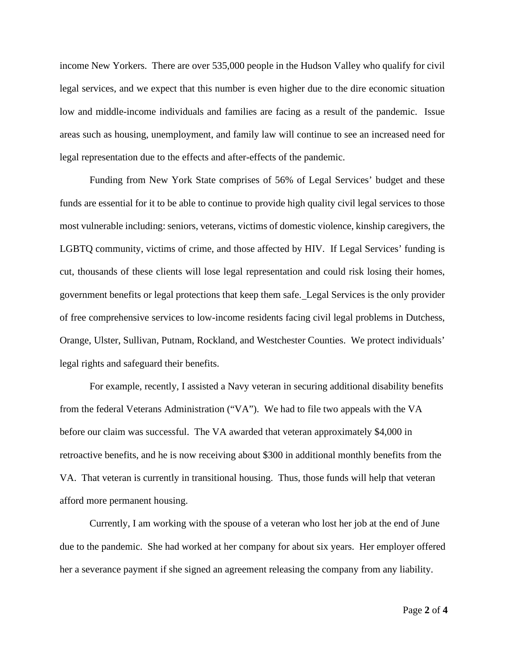income New Yorkers. There are over 535,000 people in the Hudson Valley who qualify for civil legal services, and we expect that this number is even higher due to the dire economic situation low and middle-income individuals and families are facing as a result of the pandemic. Issue areas such as housing, unemployment, and family law will continue to see an increased need for legal representation due to the effects and after-effects of the pandemic.

Funding from New York State comprises of 56% of Legal Services' budget and these funds are essential for it to be able to continue to provide high quality civil legal services to those most vulnerable including: seniors, veterans, victims of domestic violence, kinship caregivers, the LGBTQ community, victims of crime, and those affected by HIV. If Legal Services' funding is cut, thousands of these clients will lose legal representation and could risk losing their homes, government benefits or legal protections that keep them safe. Legal Services is the only provider of free comprehensive services to low-income residents facing civil legal problems in Dutchess, Orange, Ulster, Sullivan, Putnam, Rockland, and Westchester Counties. We protect individuals' legal rights and safeguard their benefits.

For example, recently, I assisted a Navy veteran in securing additional disability benefits from the federal Veterans Administration ("VA"). We had to file two appeals with the VA before our claim was successful. The VA awarded that veteran approximately \$4,000 in retroactive benefits, and he is now receiving about \$300 in additional monthly benefits from the VA. That veteran is currently in transitional housing. Thus, those funds will help that veteran afford more permanent housing.

Currently, I am working with the spouse of a veteran who lost her job at the end of June due to the pandemic. She had worked at her company for about six years. Her employer offered her a severance payment if she signed an agreement releasing the company from any liability.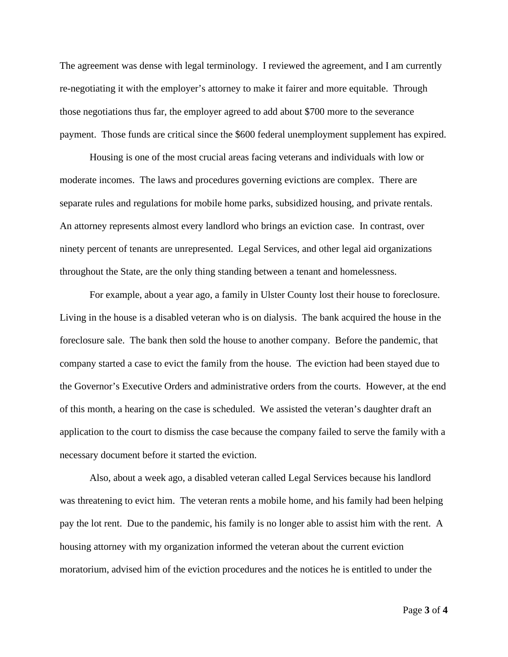The agreement was dense with legal terminology. I reviewed the agreement, and I am currently re-negotiating it with the employer's attorney to make it fairer and more equitable. Through those negotiations thus far, the employer agreed to add about \$700 more to the severance payment. Those funds are critical since the \$600 federal unemployment supplement has expired.

Housing is one of the most crucial areas facing veterans and individuals with low or moderate incomes. The laws and procedures governing evictions are complex. There are separate rules and regulations for mobile home parks, subsidized housing, and private rentals. An attorney represents almost every landlord who brings an eviction case. In contrast, over ninety percent of tenants are unrepresented. Legal Services, and other legal aid organizations throughout the State, are the only thing standing between a tenant and homelessness.

For example, about a year ago, a family in Ulster County lost their house to foreclosure. Living in the house is a disabled veteran who is on dialysis. The bank acquired the house in the foreclosure sale. The bank then sold the house to another company. Before the pandemic, that company started a case to evict the family from the house. The eviction had been stayed due to the Governor's Executive Orders and administrative orders from the courts. However, at the end of this month, a hearing on the case is scheduled. We assisted the veteran's daughter draft an application to the court to dismiss the case because the company failed to serve the family with a necessary document before it started the eviction.

Also, about a week ago, a disabled veteran called Legal Services because his landlord was threatening to evict him. The veteran rents a mobile home, and his family had been helping pay the lot rent. Due to the pandemic, his family is no longer able to assist him with the rent. A housing attorney with my organization informed the veteran about the current eviction moratorium, advised him of the eviction procedures and the notices he is entitled to under the